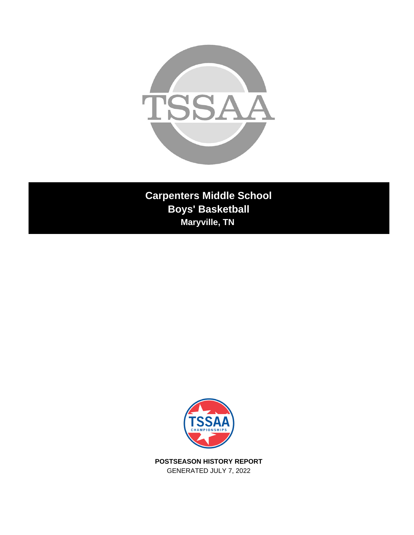

**Carpenters Middle School Boys' Basketball Maryville, TN** 



**POSTSEASON HISTORY REPORT** GENERATED JULY 7, 2022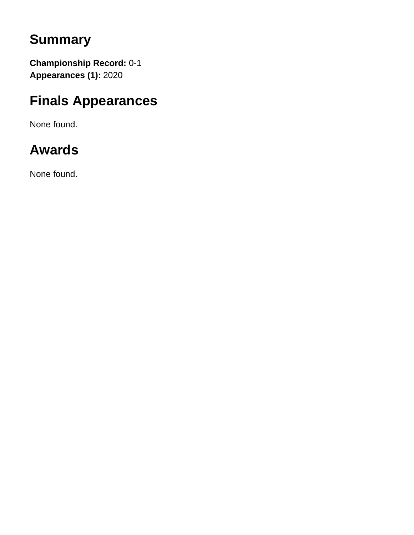# **Summary**

**Championship Record:** 0-1 **Appearances (1):** 2020

## **Finals Appearances**

None found.

# **Awards**

None found.